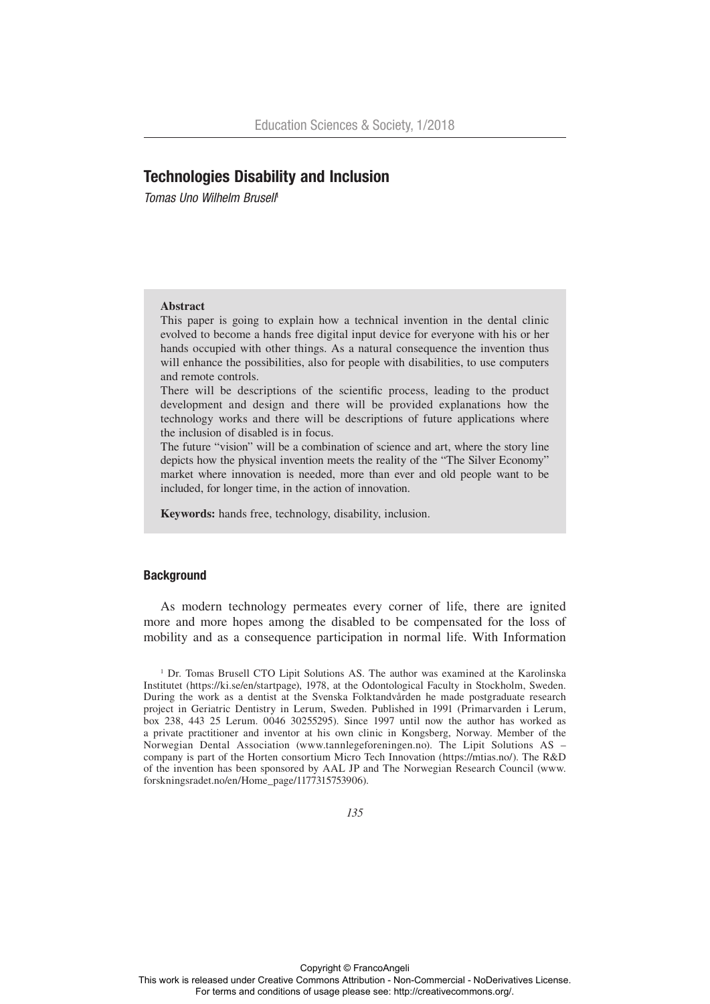# Technologies Disability and Inclusion

**Tomas Uno Wilhelm Brusell<sup>1</sup>** 

## **Abstract**

This paper is going to explain how a technical invention in the dental clinic evolved to become a hands free digital input device for everyone with his or her hands occupied with other things. As a natural consequence the invention thus will enhance the possibilities, also for people with disabilities, to use computers and remote controls.

There will be descriptions of the scientific process, leading to the product development and design and there will be provided explanations how the technology works and there will be descriptions of future applications where the inclusion of disabled is in focus.

The future "vision" will be a combination of science and art, where the story line depicts how the physical invention meets the reality of the "The Silver Economy" market where innovation is needed, more than ever and old people want to be included, for longer time, in the action of innovation.

**Keywords:** hands free, technology, disability, inclusion.

### **Background**

As modern technology permeates every corner of life, there are ignited more and more hopes among the disabled to be compensated for the loss of mobility and as a consequence participation in normal life. With Information

 $1$  Dr. Tomas Brusell CTO Lipit Solutions AS. The author was examined at the Karolinska Institutet (https://ki.se/en/startpage), 1978, at the Odontological Faculty in Stockholm, Sweden. During the work as a dentist at the Svenska Folktandvården he made postgraduate research project in Geriatric Dentistry in Lerum, Sweden. Published in 1991 (Primarvarden i Lerum, box 238, 443 25 Lerum. 0046 30255295). Since 1997 until now the author has worked as a private practitioner and inventor at his own clinic in Kongsberg, Norway. Member of the Norwegian Dental Association (www.tannlegeforeningen.no). The Lipit Solutions AS – company is part of the Horten consortium Micro Tech Innovation (https://mtias.no/). The R&D of the invention has been sponsored by AAL JP and The Norwegian Research Council (www. forskningsradet.no/en/Home\_page/1177315753906).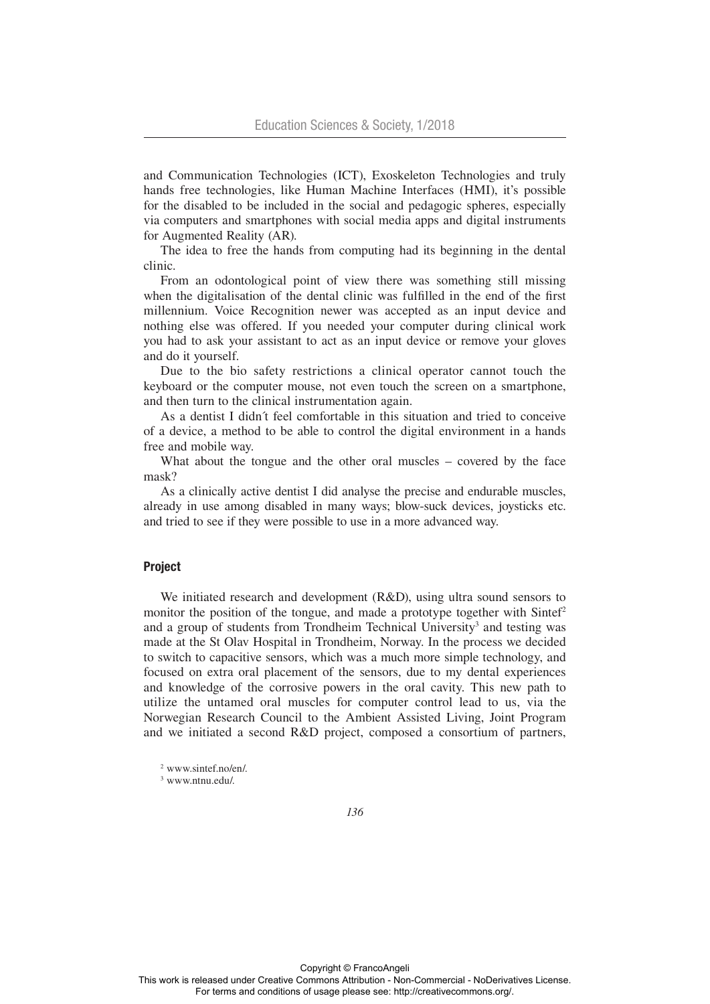and Communication Technologies (ICT), Exoskeleton Technologies and truly hands free technologies, like Human Machine Interfaces (HMI), it's possible for the disabled to be included in the social and pedagogic spheres, especially via computers and smartphones with social media apps and digital instruments for Augmented Reality (AR).

The idea to free the hands from computing had its beginning in the dental clinic.

From an odontological point of view there was something still missing when the digitalisation of the dental clinic was fulfilled in the end of the first millennium. Voice Recognition newer was accepted as an input device and nothing else was offered. If you needed your computer during clinical work you had to ask your assistant to act as an input device or remove your gloves and do it yourself.

Due to the bio safety restrictions a clinical operator cannot touch the keyboard or the computer mouse, not even touch the screen on a smartphone, and then turn to the clinical instrumentation again.

As a dentist I didn´t feel comfortable in this situation and tried to conceive of a device, a method to be able to control the digital environment in a hands free and mobile way.

What about the tongue and the other oral muscles – covered by the face mask?

As a clinically active dentist I did analyse the precise and endurable muscles, already in use among disabled in many ways; blow-suck devices, joysticks etc. and tried to see if they were possible to use in a more advanced way.

### Project

We initiated research and development (R&D), using ultra sound sensors to monitor the position of the tongue, and made a prototype together with  $\text{Sinter}^2$ and a group of students from Trondheim Technical University<sup>3</sup> and testing was made at the St Olav Hospital in Trondheim, Norway. In the process we decided to switch to capacitive sensors, which was a much more simple technology, and focused on extra oral placement of the sensors, due to my dental experiences and knowledge of the corrosive powers in the oral cavity. This new path to utilize the untamed oral muscles for computer control lead to us, via the Norwegian Research Council to the Ambient Assisted Living, Joint Program and we initiated a second R&D project, composed a consortium of partners,

<sup>2</sup> www.sintef.no/en/.

<sup>3</sup> www.ntnu.edu/.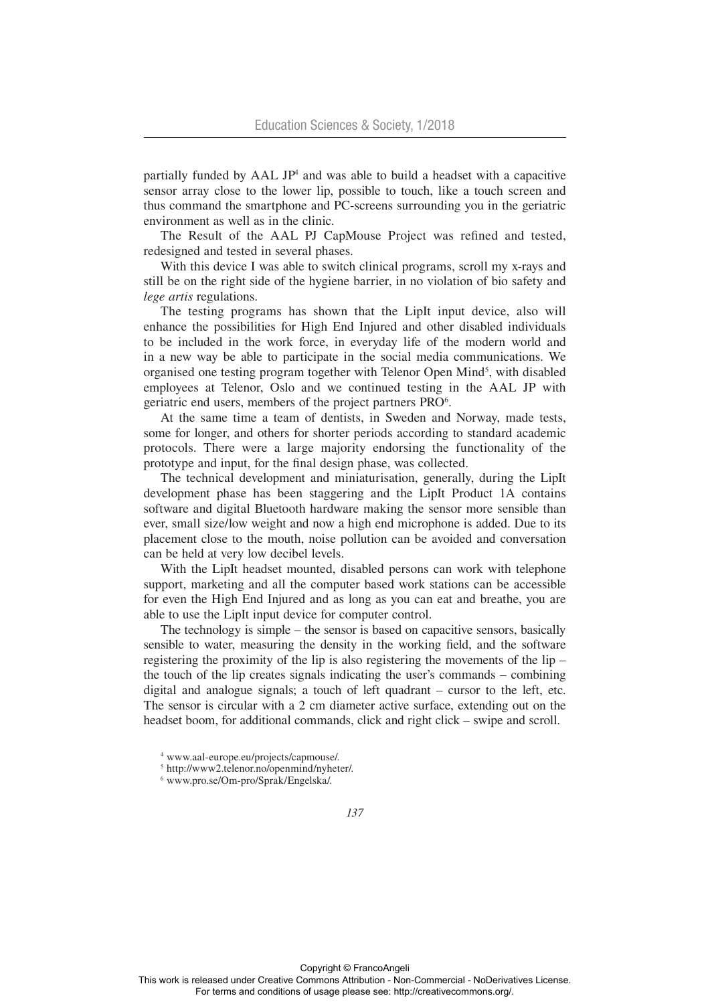partially funded by AAL JP<sup>4</sup> and was able to build a headset with a capacitive sensor array close to the lower lip, possible to touch, like a touch screen and thus command the smartphone and PC-screens surrounding you in the geriatric environment as well as in the clinic.

The Result of the AAL PJ CapMouse Project was refined and tested, redesigned and tested in several phases.

With this device I was able to switch clinical programs, scroll my x-rays and still be on the right side of the hygiene barrier, in no violation of bio safety and *lege artis* regulations.

The testing programs has shown that the LipIt input device, also will enhance the possibilities for High End Injured and other disabled individuals to be included in the work force, in everyday life of the modern world and in a new way be able to participate in the social media communications. We organised one testing program together with Telenor Open Mind<sup>5</sup>, with disabled employees at Telenor, Oslo and we continued testing in the AAL JP with geriatric end users, members of the project partners PRO<sup>6</sup>.

At the same time a team of dentists, in Sweden and Norway, made tests, some for longer, and others for shorter periods according to standard academic protocols. There were a large majority endorsing the functionality of the prototype and input, for the final design phase, was collected.

The technical development and miniaturisation, generally, during the LipIt development phase has been staggering and the LipIt Product 1A contains software and digital Bluetooth hardware making the sensor more sensible than ever, small size/low weight and now a high end microphone is added. Due to its placement close to the mouth, noise pollution can be avoided and conversation can be held at very low decibel levels.

With the LipIt headset mounted, disabled persons can work with telephone support, marketing and all the computer based work stations can be accessible for even the High End Injured and as long as you can eat and breathe, you are able to use the LipIt input device for computer control.

The technology is simple – the sensor is based on capacitive sensors, basically sensible to water, measuring the density in the working field, and the software registering the proximity of the lip is also registering the movements of the lip – the touch of the lip creates signals indicating the user's commands – combining digital and analogue signals; a touch of left quadrant – cursor to the left, etc. The sensor is circular with a 2 cm diameter active surface, extending out on the headset boom, for additional commands, click and right click – swipe and scroll.

<sup>4</sup> www.aal-europe.eu/projects/capmouse/.

<sup>5</sup> http://www2.telenor.no/openmind/nyheter/.

<sup>6</sup> www.pro.se/Om-pro/Sprak/Engelska/.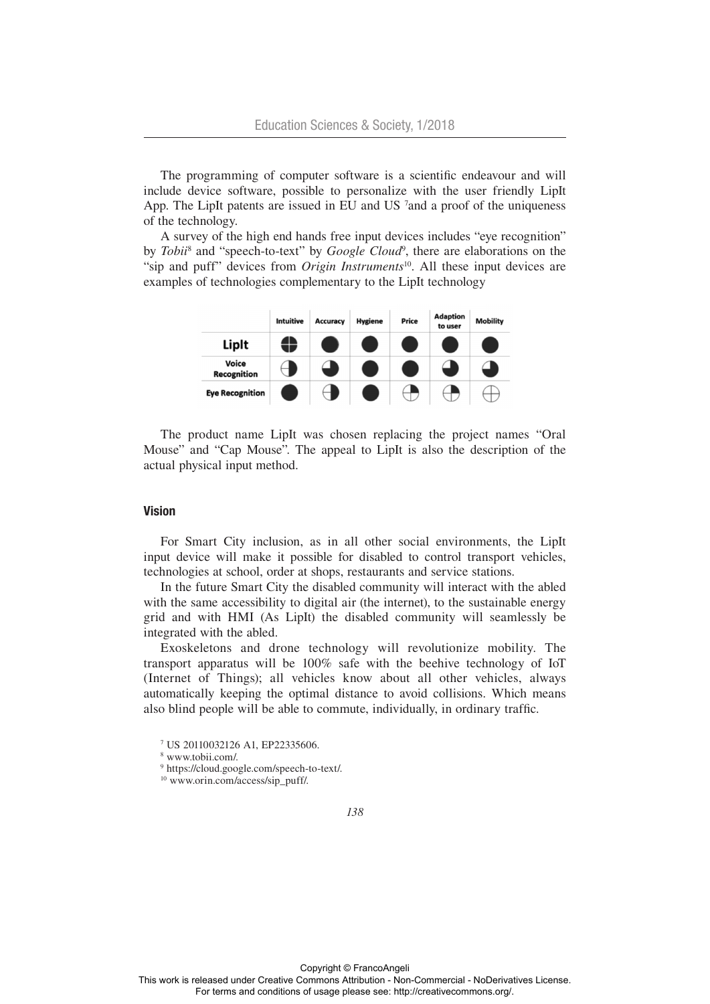The programming of computer software is a scientific endeavour and will include device software, possible to personalize with the user friendly LipIt App. The LipIt patents are issued in EU and US  $^7$  and a proof of the uniqueness of the technology.

A survey of the high end hands free input devices includes "eye recognition" by *Tobii*<sup>8</sup> and "speech-to-text" by *Google Cloud*<sup>9</sup>, there are elaborations on the "sip and puff" devices from *Origin Instruments*<sup>10</sup>. All these input devices are examples of technologies complementary to the LipIt technology



The product name LipIt was chosen replacing the project names "Oral Mouse" and "Cap Mouse". The appeal to LipIt is also the description of the actual physical input method.

### Vision

For Smart City inclusion, as in all other social environments, the LipIt input device will make it possible for disabled to control transport vehicles, technologies at school, order at shops, restaurants and service stations.

In the future Smart City the disabled community will interact with the abled with the same accessibility to digital air (the internet), to the sustainable energy grid and with HMI (As LipIt) the disabled community will seamlessly be integrated with the abled.

Exoskeletons and drone technology will revolutionize mobility. The transport apparatus will be 100% safe with the beehive technology of IoT (Internet of Things); all vehicles know about all other vehicles, always automatically keeping the optimal distance to avoid collisions. Which means also blind people will be able to commute, individually, in ordinary traffic.

<sup>7</sup> US 20110032126 A1, EP22335606.

<sup>8</sup> www.tobii.com/.

<sup>9</sup> https://cloud.google.com/speech-to-text/.

<sup>&</sup>lt;sup>10</sup> www.orin.com/access/sip\_puff/.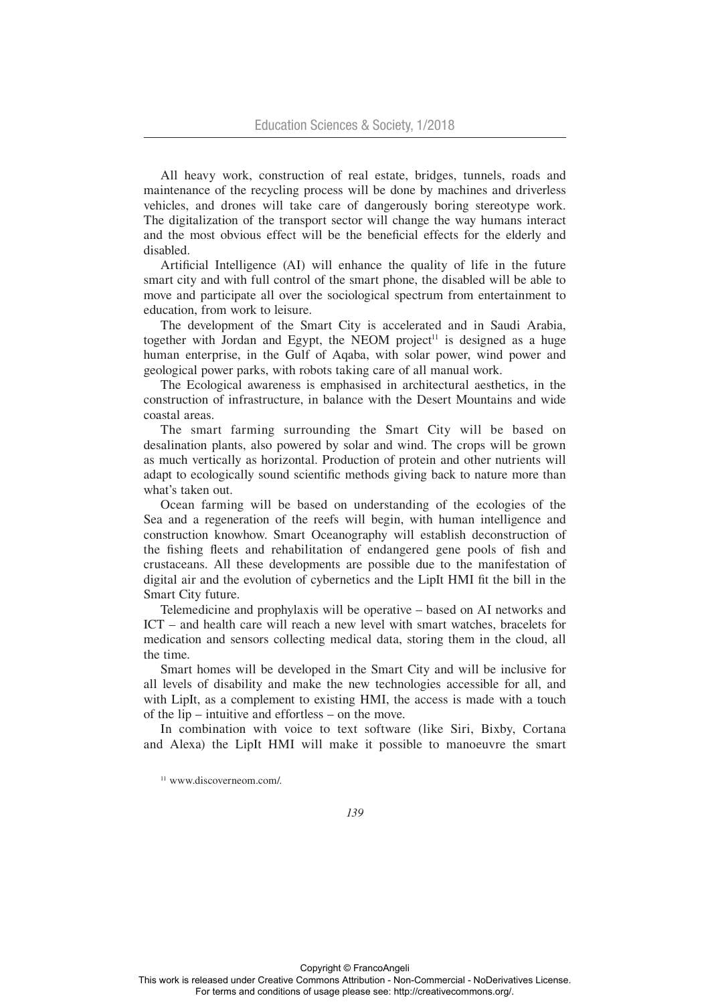All heavy work, construction of real estate, bridges, tunnels, roads and maintenance of the recycling process will be done by machines and driverless vehicles, and drones will take care of dangerously boring stereotype work. The digitalization of the transport sector will change the way humans interact and the most obvious effect will be the beneficial effects for the elderly and disabled.

Artificial Intelligence (AI) will enhance the quality of life in the future smart city and with full control of the smart phone, the disabled will be able to move and participate all over the sociological spectrum from entertainment to education, from work to leisure.

The development of the Smart City is accelerated and in Saudi Arabia, together with Jordan and Egypt, the NEOM project<sup>11</sup> is designed as a huge human enterprise, in the Gulf of Aqaba, with solar power, wind power and geological power parks, with robots taking care of all manual work.

The Ecological awareness is emphasised in architectural aesthetics, in the construction of infrastructure, in balance with the Desert Mountains and wide coastal areas.

The smart farming surrounding the Smart City will be based on desalination plants, also powered by solar and wind. The crops will be grown as much vertically as horizontal. Production of protein and other nutrients will adapt to ecologically sound scientific methods giving back to nature more than what's taken out.

Ocean farming will be based on understanding of the ecologies of the Sea and a regeneration of the reefs will begin, with human intelligence and construction knowhow. Smart Oceanography will establish deconstruction of the fishing fleets and rehabilitation of endangered gene pools of fish and crustaceans. All these developments are possible due to the manifestation of digital air and the evolution of cybernetics and the LipIt HMI fit the bill in the Smart City future.

Telemedicine and prophylaxis will be operative – based on AI networks and ICT – and health care will reach a new level with smart watches, bracelets for medication and sensors collecting medical data, storing them in the cloud, all the time.

Smart homes will be developed in the Smart City and will be inclusive for all levels of disability and make the new technologies accessible for all, and with LipIt, as a complement to existing HMI, the access is made with a touch of the lip – intuitive and effortless – on the move.

In combination with voice to text software (like Siri, Bixby, Cortana and Alexa) the LipIt HMI will make it possible to manoeuvre the smart

<sup>11</sup> www.discoverneom.com/.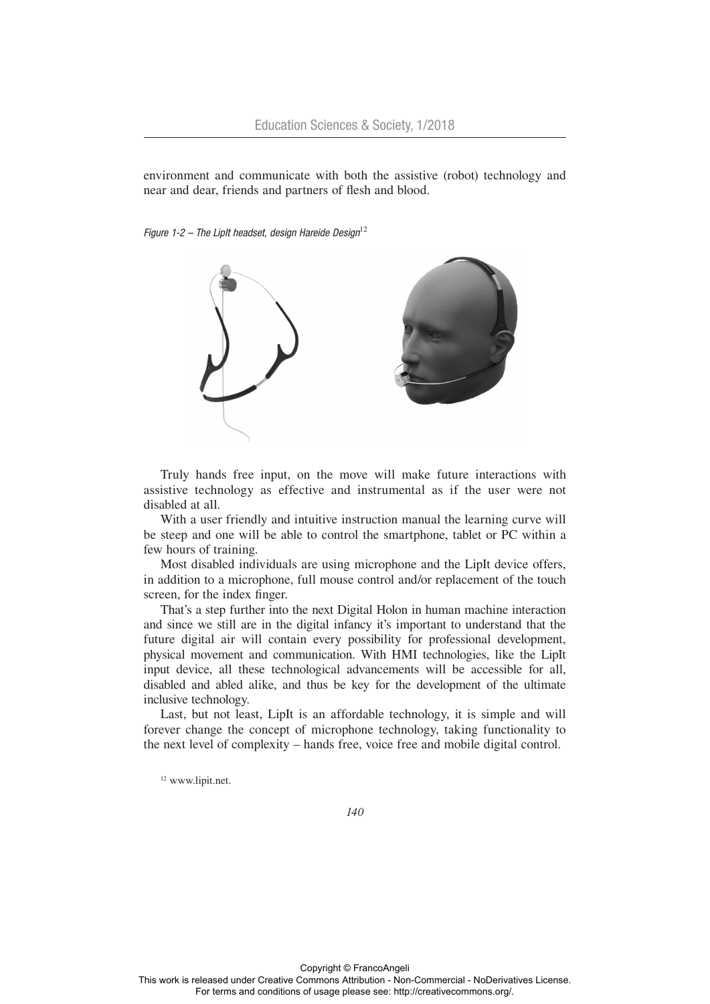environment and communicate with both the assistive (robot) technology and near and dear, friends and partners of flesh and blood.

*Figure 1-2 – The LipIt headset, design Hareide Design*<sup>12</sup>



Truly hands free input, on the move will make future interactions with assistive technology as effective and instrumental as if the user were not disabled at all.

With a user friendly and intuitive instruction manual the learning curve will be steep and one will be able to control the smartphone, tablet or PC within a few hours of training.

Most disabled individuals are using microphone and the LipIt device offers, in addition to a microphone, full mouse control and/or replacement of the touch screen, for the index finger.

That's a step further into the next Digital Holon in human machine interaction and since we still are in the digital infancy it's important to understand that the future digital air will contain every possibility for professional development, physical movement and communication. With HMI technologies, like the LipIt input device, all these technological advancements will be accessible for all, disabled and abled alike, and thus be key for the development of the ultimate inclusive technology.

Last, but not least, LipIt is an affordable technology, it is simple and will forever change the concept of microphone technology, taking functionality to the next level of complexity – hands free, voice free and mobile digital control.

<sup>12</sup> www.lipit.net.